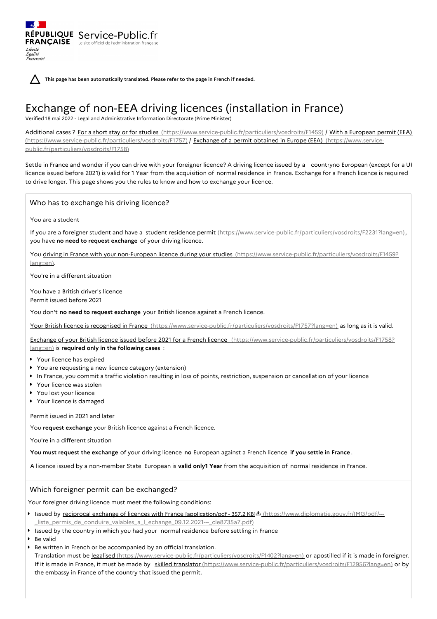Égalité Fraternité

RÉPUBLIQUE Service-Public.fr **FRANÇAISE** Le site officiel de l'administration fran

**This page has been automatically translated. Please refer to the page in French if needed.**

# Exchange of non-EEA driving licences (installation in France)

Verified 18 mai 2022 - Legal and Administrative Information Directorate (Prime Minister)

Additional cases ? For a short stay or for studies [\(https://www.service-public.fr/particuliers/vosdroits/F1459\)](https://www.service-public.fr/particuliers/vosdroits/F1459) / With a European permit (EEA) [\(https://www.service-public.fr/particuliers/vosdroits/F1757\)](https://www.service-public.fr/particuliers/vosdroits/F1757) / Exchange of a permit obtained in Europe (EEA) (https://www.servicepublic.fr/particuliers/vosdroits/F1758)

Settle in France and wonder if you can drive with your foreigner licence? A driving licence issued by a countryno European (except for a UI licence issued before 2021) is valid for 1 Year from the acquisition of normal residence in France. Exchange for a French licence is required to drive longer. This page shows you the rules to know and how to exchange your licence.

Who has to exchange his driving licence?

You are a student

Liberté

If you are a foreigner student and have a student residence permit [\(https://www.service-public.fr/particuliers/vosdroits/F2231?lang=en\)](https://www.service-public.fr/particuliers/vosdroits/F2231?lang=en), you have **no need to request exchange** of your driving licence.

You driving in France with your non-European licence during your studies [\(https://www.service-public.fr/particuliers/vosdroits/F1459?](https://www.service-public.fr/particuliers/vosdroits/F1459?lang=en) lang=en).

You're in a different situation

You have a British driver's licence Permit issued before 2021

You don't **no need to request exchange** your British licence against a French licence.

Your British licence is recognised in France [\(https://www.service-public.fr/particuliers/vosdroits/F1757?lang=en\)](https://www.service-public.fr/particuliers/vosdroits/F1757?lang=en) as long as it is valid.

Exchange of your British licence issued before 2021 for a French licence [\(https://www.service-public.fr/particuliers/vosdroits/F1758?](https://www.service-public.fr/particuliers/vosdroits/F1758?lang=en) lang=en) is **required only in the following cases** :

- Your licence has expired
- You are requesting a new licence category (extension)
- In France, you commit a traffic violation resulting in loss of points, restriction, suspension or cancellation of your licence
- Your licence was stolen
- You lost your licence
- **P** Your licence is damaged

Permit issued in 2021 and later

You **request exchange** your British licence against a French licence.

You're in a different situation

**You must request the exchange** of your driving licence **no** European against a French licence **if you settle in France** .

A licence issued by a non-member State European is **valid only1 Year** from the acquisition of normal residence in France.

# Which foreigner permit can be exchanged?

Your foreigner driving licence must meet the following conditions:

- Issued by reciprocal exchange of licences with France [application/pdf 357.2 KB] (https://www.diplomatie.gouv.fr/IMG/pdf/-- liste\_permis\_de\_conduire\_valables\_a\_l\_echange\_09.12.2021---\_ cle8735a7.pdf)
- Issued by the country in which you had your normal residence before settling in France
- Be valid
- Be written in French or be accompanied by an official translation.

Translation must be legalised [\(https://www.service-public.fr/particuliers/vosdroits/F1402?lang=en\)](https://www.service-public.fr/particuliers/vosdroits/F1402?lang=en) or apostilled if it is made in foreigner. If it is made in France, it must be made by skilled translator [\(https://www.service-public.fr/particuliers/vosdroits/F12956?lang=en\)](https://www.service-public.fr/particuliers/vosdroits/F12956?lang=en) or by the embassy in France of the country that issued the permit.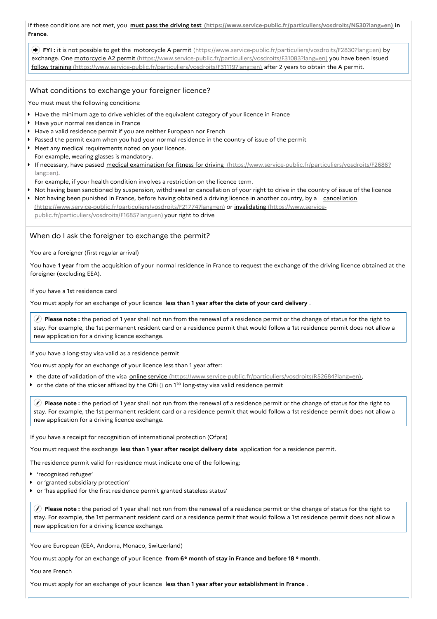If these conditions are not met, you **must pass the driving test [\(https://www.service-public.fr/particuliers/vosdroits/N530?lang=en\)](https://www.service-public.fr/particuliers/vosdroits/N530?lang=en) in France**.

 **FYI :** it is not possible to get the motorcycle A permit [\(https://www.service-public.fr/particuliers/vosdroits/F2830?lang=en\)](https://www.service-public.fr/particuliers/vosdroits/F2830?lang=en) by exchange. One motorcycle A2 permit [\(https://www.service-public.fr/particuliers/vosdroits/F31083?lang=en\)](https://www.service-public.fr/particuliers/vosdroits/F31083?lang=en) you have been issued follow training [\(https://www.service-public.fr/particuliers/vosdroits/F31119?lang=en\)](https://www.service-public.fr/particuliers/vosdroits/F31119?lang=en) after 2 years to obtain the A permit.

# What conditions to exchange your foreigner licence?

You must meet the following conditions:

- Have the minimum age to drive vehicles of the equivalent category of your licence in France
- Have your normal residence in France
- Have a valid residence permit if you are neither European nor French
- Passed the permit exam when you had your normal residence in the country of issue of the permit
- Meet any medical requirements noted on your licence.
- For example, wearing glasses is mandatory.
- If necessary, have passed medical examination for fitness for driving [\(https://www.service-public.fr/particuliers/vosdroits/F2686?](https://www.service-public.fr/particuliers/vosdroits/F2686?lang=en) lang=en).
	- For example, if your health condition involves a restriction on the licence term.
- Not having been sanctioned by suspension, withdrawal or cancellation of your right to drive in the country of issue of the licence
- Not having been punished in France, before having obtained a driving licence in another country, by a cancellation [\(https://www.service-public.fr/particuliers/vosdroits/F21774?lang=en\)](https://www.service-public.fr/particuliers/vosdroits/F21774?lang=en) or invalidating (https://www.servicepublic.fr/particuliers/vosdroits/F1685?lang=en) your right to drive

# When do I ask the foreigner to exchange the permit?

You are a foreigner (first regular arrival)

You have **1 year** from the acquisition of your normal residence in France to request the exchange of the driving licence obtained at the foreigner (excluding EEA).

If you have a 1st residence card

You must apply for an exchange of your licence **less than 1 year after the date of your card delivery** .

 **Please note :** the period of 1 year shall not run from the renewal of a residence permit or the change of status for the right to stay. For example, the 1st permanent resident card or a residence permit that would follow a 1st residence permit does not allow a new application for a driving licence exchange.

If you have a long-stay visa valid as a residence permit

You must apply for an exchange of your licence less than 1 year after:

- the date of validation of the visa online service [\(https://www.service-public.fr/particuliers/vosdroits/R52684?lang=en\)](https://www.service-public.fr/particuliers/vosdroits/R52684?lang=en),
- or the date of the sticker affixed by the Ofii () on  $1<sup>to</sup>$  long-stay visa valid residence permit

 **Please note :** the period of 1 year shall not run from the renewal of a residence permit or the change of status for the right to stay. For example, the 1st permanent resident card or a residence permit that would follow a 1st residence permit does not allow a new application for a driving licence exchange.

If you have a receipt for recognition of international protection (Ofpra)

You must request the exchange **less than 1 year after receipt delivery date** application for a residence permit.

The residence permit valid for residence must indicate one of the following:

- 'recognised refugee'
- or 'granted subsidiary protection'  $\bullet$
- or 'has applied for the first residence permit granted stateless status'

 **Please note :** the period of 1 year shall not run from the renewal of a residence permit or the change of status for the right to stay. For example, the 1st permanent resident card or a residence permit that would follow a 1st residence permit does not allow a new application for a driving licence exchange.

You are European (EEA, Andorra, Monaco, Switzerland)

You must apply for an exchange of your licence from 6<sup>e</sup> month of stay in France and before 18 <sup>e</sup> month.

You are French

You must apply for an exchange of your licence **less than 1 year after your establishment in France** .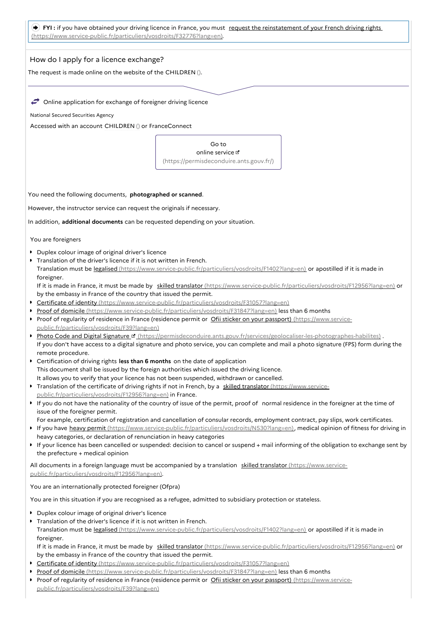| (→) FYI : if you have obtained your driving licence in France, you must request the reinstatement of your French driving rights |  |
|---------------------------------------------------------------------------------------------------------------------------------|--|
| (https://www.service-public.fr/particuliers/vosdroits/F32776?lang=en).                                                          |  |

# How do I apply for a licence exchange?

The request is made online on the website of the CHILDREN ().

 $\rightarrow$  Online application for exchange of foreigner driving licence

National Secured Securities Agency

Accessed with an account CHILDREN () or FranceConnect

Go to online service [\(https://permisdeconduire.ants.gouv.fr/\)](https://permisdeconduire.ants.gouv.fr/)

You need the following documents, **photographed or scanned**.

However, the instructor service can request the originals if necessary.

In addition, **additional documents** can be requested depending on your situation.

You are foreigners

- **Duplex colour image of original driver's licence**
- **Translation of the driver's licence if it is not written in French.**

Translation must be legalised [\(https://www.service-public.fr/particuliers/vosdroits/F1402?lang=en\)](https://www.service-public.fr/particuliers/vosdroits/F1402?lang=en) or apostilled if it is made in foreigner.

If it is made in France, it must be made by skilled translator [\(https://www.service-public.fr/particuliers/vosdroits/F12956?lang=en\)](https://www.service-public.fr/particuliers/vosdroits/F12956?lang=en) or by the embassy in France of the country that issued the permit.

- **Certificate of identity** [\(https://www.service-public.fr/particuliers/vosdroits/F31057?lang=en\)](https://www.service-public.fr/particuliers/vosdroits/F31057?lang=en)
- Proof of domicile [\(https://www.service-public.fr/particuliers/vosdroits/F31847?lang=en\)](https://www.service-public.fr/particuliers/vosdroits/F31847?lang=en) less than 6 months
- Proof of regularity of residence in France (residence permit or Ofii sticker on your passport) (https://www.service[public.fr/particuliers/vosdroits/F39?lang=en\)](https://www.service-public.fr/particuliers/vosdroits/F39?lang=en)
- Photo Code and Digital Signature **E** [\(https://permisdeconduire.ants.gouv.fr/services/geolocaliser-les-photographes-habilites\)](https://permisdeconduire.ants.gouv.fr/services/geolocaliser-les-photographes-habilites) . If you don't have access to a digital signature and photo service, you can complete and mail a photo signature (FPS) form during the remote procedure.
- Certification of driving rights **less than 6 months** on the date of application This document shall be issued by the foreign authorities which issued the driving licence. It allows you to verify that your licence has not been suspended, withdrawn or cancelled.
- Translation of the certificate of driving rights if not in French, by a skilled translator (https://www.service[public.fr/particuliers/vosdroits/F12956?lang=en\)](https://www.service-public.fr/particuliers/vosdroits/F12956?lang=en) in France.
- If you do not have the nationality of the country of issue of the permit, proof of normal residence in the foreigner at the time of issue of the foreigner permit.

For example, certification of registration and cancellation of consular records, employment contract, pay slips, work certificates.

- If you have heavy permit [\(https://www.service-public.fr/particuliers/vosdroits/N530?lang=en\)](https://www.service-public.fr/particuliers/vosdroits/N530?lang=en), medical opinion of fitness for driving in heavy categories, or declaration of renunciation in heavy categories
- If your licence has been cancelled or suspended: decision to cancel or suspend + mail informing of the obligation to exchange sent by the prefecture + medical opinion

All documents in a foreign language must be accompanied by a translation skilled translator (https://www.service[public.fr/particuliers/vosdroits/F12956?lang=en\).](https://www.service-public.fr/particuliers/vosdroits/F12956?lang=en)

You are an internationally protected foreigner (Ofpra)

You are in this situation if you are recognised as a refugee, admitted to subsidiary protection or stateless.

- **Duplex colour image of original driver's licence**
- Translation of the driver's licence if it is not written in French. Translation must be legalised [\(https://www.service-public.fr/particuliers/vosdroits/F1402?lang=en\)](https://www.service-public.fr/particuliers/vosdroits/F1402?lang=en) or apostilled if it is made in foreigner.
- If it is made in France, it must be made by skilled translator [\(https://www.service-public.fr/particuliers/vosdroits/F12956?lang=en\)](https://www.service-public.fr/particuliers/vosdroits/F12956?lang=en) or by the embassy in France of the country that issued the permit.
- Certificate of identity [\(https://www.service-public.fr/particuliers/vosdroits/F31057?lang=en\)](https://www.service-public.fr/particuliers/vosdroits/F31057?lang=en)
- Proof of domicile [\(https://www.service-public.fr/particuliers/vosdroits/F31847?lang=en\)](https://www.service-public.fr/particuliers/vosdroits/F31847?lang=en) less than 6 months
- Proof of regularity of residence in France (residence permit or Ofii sticker on your passport) (https://www.service[public.fr/particuliers/vosdroits/F39?lang=en\)](https://www.service-public.fr/particuliers/vosdroits/F39?lang=en)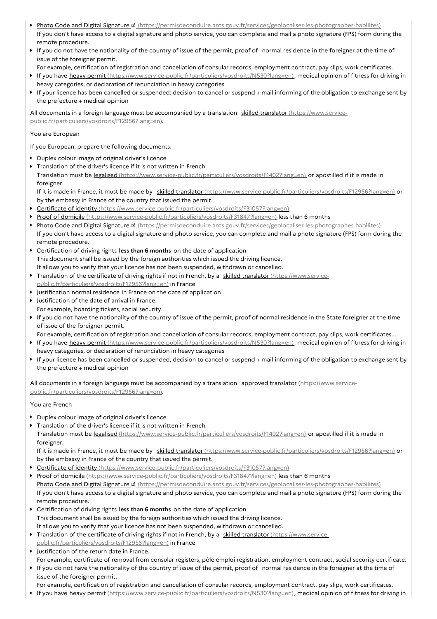- Photo Code and Digital Signature <sup>If</sup> [\(https://permisdeconduire.ants.gouv.fr/services/geolocaliser-les-photographes-habilites\)](https://permisdeconduire.ants.gouv.fr/services/geolocaliser-les-photographes-habilites) . If you don't have access to a digital signature and photo service, you can complete and mail a photo signature (FPS) form during the remote procedure.
- If you do not have the nationality of the country of issue of the permit, proof of normal residence in the foreigner at the time of issue of the foreigner permit.
- For example, certification of registration and cancellation of consular records, employment contract, pay slips, work certificates.
- If you have heavy permit [\(https://www.service-public.fr/particuliers/vosdroits/N530?lang=en\)](https://www.service-public.fr/particuliers/vosdroits/N530?lang=en), medical opinion of fitness for driving in heavy categories, or declaration of renunciation in heavy categories
- If your licence has been cancelled or suspended: decision to cancel or suspend + mail informing of the obligation to exchange sent by the prefecture + medical opinion

All documents in a foreign language must be accompanied by a translation skilled translator (https://www.service[public.fr/particuliers/vosdroits/F12956?lang=en\).](https://www.service-public.fr/particuliers/vosdroits/F12956?lang=en)

## You are European

If you European, prepare the following documents:

- Duplex colour image of original driver's licence
- **Translation of the driver's licence if it is not written in French.** Translation must be legalised [\(https://www.service-public.fr/particuliers/vosdroits/F1402?lang=en\)](https://www.service-public.fr/particuliers/vosdroits/F1402?lang=en) or apostilled if it is made in foreigner.

If it is made in France, it must be made by skilled translator [\(https://www.service-public.fr/particuliers/vosdroits/F12956?lang=en\)](https://www.service-public.fr/particuliers/vosdroits/F12956?lang=en) or by the embassy in France of the country that issued the permit.

- Certificate of identity [\(https://www.service-public.fr/particuliers/vosdroits/F31057?lang=en\)](https://www.service-public.fr/particuliers/vosdroits/F31057?lang=en)
- Proof of domicile [\(https://www.service-public.fr/particuliers/vosdroits/F31847?lang=en\)](https://www.service-public.fr/particuliers/vosdroits/F31847?lang=en) less than 6 months
- Photo Code and Digital Signature <sup>r</sup> [\(https://permisdeconduire.ants.gouv.fr/services/geolocaliser-les-photographes-habilites\)](https://permisdeconduire.ants.gouv.fr/services/geolocaliser-les-photographes-habilites) If you don't have access to a digital signature and photo service, you can complete and mail a photo signature (FPS) form during the remote procedure.
- Certification of driving rights **less than 6 months** on the date of application This document shall be issued by the foreign authorities which issued the driving licence. It allows you to verify that your licence has not been suspended, withdrawn or cancelled.
- Translation of the certificate of driving rights if not in French, by a skilled translator (https://www.service[public.fr/particuliers/vosdroits/F12956?lang=en\)](https://www.service-public.fr/particuliers/vosdroits/F12956?lang=en) in France
- Justification normal residence in France on the date of application
- Justification of the date of arrival in France. For example, boarding tickets, social security.
- If you do not have the nationality of the country of issue of the permit, proof of normal residence in the State foreigner at the time of issue of the foreigner permit.
- For example, certification of registration and cancellation of consular records, employment contract, pay slips, work certificates...
- If you have heavy permit [\(https://www.service-public.fr/particuliers/vosdroits/N530?lang=en\)](https://www.service-public.fr/particuliers/vosdroits/N530?lang=en), medical opinion of fitness for driving in heavy categories, or declaration of renunciation in heavy categories
- If your licence has been cancelled or suspended, decision to cancel or suspend + mail informing of the obligation to exchange sent by the prefecture + medical opinion

All documents in a foreign language must be accompanied by a translation approved translator (https://www.service[public.fr/particuliers/vosdroits/F12956?lang=en\).](https://www.service-public.fr/particuliers/vosdroits/F12956?lang=en)

# You are French

- **Duplex colour image of original driver's licence**
- **Translation of the driver's licence if it is not written in French.**

Translation must be legalised [\(https://www.service-public.fr/particuliers/vosdroits/F1402?lang=en\)](https://www.service-public.fr/particuliers/vosdroits/F1402?lang=en) or apostilled if it is made in foreigner.

If it is made in France, it must be made by skilled translator [\(https://www.service-public.fr/particuliers/vosdroits/F12956?lang=en\)](https://www.service-public.fr/particuliers/vosdroits/F12956?lang=en) or by the embassy in France of the country that issued the permit.

**Certificate of identity** [\(https://www.service-public.fr/particuliers/vosdroits/F31057?lang=en\)](https://www.service-public.fr/particuliers/vosdroits/F31057?lang=en)

Proof of domicile [\(https://www.service-public.fr/particuliers/vosdroits/F31847?lang=en\)](https://www.service-public.fr/particuliers/vosdroits/F31847?lang=en) less than 6 months Photo Code and Digital Signature <sup>is</sup> [\(https://permisdeconduire.ants.gouv.fr/services/geolocaliser-les-photographes-habilites\)](https://permisdeconduire.ants.gouv.fr/services/geolocaliser-les-photographes-habilites) If you don't have access to a digital signature and photo service, you can complete and mail a photo signature (FPS) form during the remote procedure.

- Certification of driving rights **less than 6 months** on the date of application This document shall be issued by the foreign authorities which issued the driving licence. It allows you to verify that your licence has not been suspended, withdrawn or cancelled.
- Translation of the certificate of driving rights if not in French, by a skilled translator (https://www.service[public.fr/particuliers/vosdroits/F12956?lang=en\)](https://www.service-public.fr/particuliers/vosdroits/F12956?lang=en) in France
- **I** Justification of the return date in France.

For example, certificate of removal from consular registers, pôle emploi registration, employment contract, social security certificate. If you do not have the nationality of the country of issue of the permit, proof of normal residence in the foreigner at the time of issue of the foreigner permit.

For example, certification of registration and cancellation of consular records, employment contract, pay slips, work certificates.

■ If you have heavy permit [\(https://www.service-public.fr/particuliers/vosdroits/N530?lang=en\)](https://www.service-public.fr/particuliers/vosdroits/N530?lang=en), medical opinion of fitness for driving in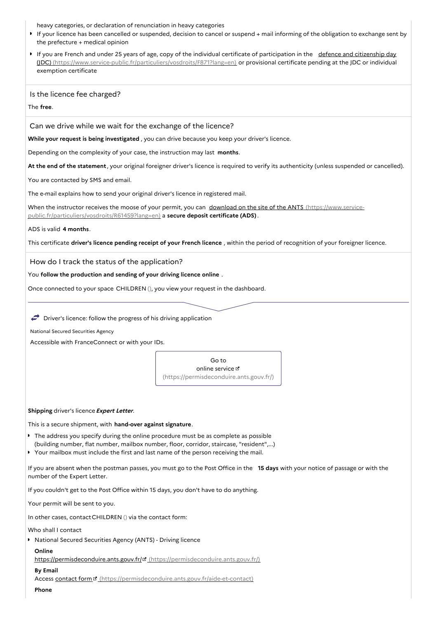heavy categories, or declaration of renunciation in heavy categories

- If your licence has been cancelled or suspended, decision to cancel or suspend + mail informing of the obligation to exchange sent by the prefecture + medical opinion
- If you are French and under 25 years of age, copy of the individual certificate of participation in the defence and citizenship day (JDC) [\(https://www.service-public.fr/particuliers/vosdroits/F871?lang=en\)](https://www.service-public.fr/particuliers/vosdroits/F871?lang=en) or provisional certificate pending at the JDC or individual exemption certificate

Is the licence fee charged?

The **free**.

Can we drive while we wait for the exchange of the licence?

**While your request is being investigated** , you can drive because you keep your driver's licence.

Depending on the complexity of your case, the instruction may last **months**.

**At the end of the statement** , your original foreigner driver's licence is required to verify its authenticity (unless suspended or cancelled).

You are contacted by SMS and email.

The e-mail explains how to send your original driver's licence in registered mail.

When the instructor receives the moose of your permit, you can download on the site of the ANTS (https://www.service[public.fr/particuliers/vosdroits/R61459?lang=en\)](https://www.service-public.fr/particuliers/vosdroits/R61459?lang=en) a **secure deposit certificate (ADS)**.

ADS is valid **4 months**.

This certificate **driver's licence pending receipt of your French licence** , within the period of recognition of your foreigner licence.

How do I track the status of the application?

You **follow the production and sending of your driving licence online** .

Once connected to your space CHILDREN (), you view your request in the dashboard.

 $\rightarrow$  Driver's licence: follow the progress of his driving application

National Secured Securities Agency

Accessible with FranceConnect or with your IDs.

Go to online service  $\leq$ [\(https://permisdeconduire.ants.gouv.fr/\)](https://permisdeconduire.ants.gouv.fr/)

#### **Shipping** driver's licence**Expert Letter**.

This is a secure shipment, with **hand-over against signature**.

- The address you specify during the online procedure must be as complete as possible (building number, flat number, mailbox number, floor, corridor, staircase, "resident",...)
- Your mailbox must include the first and last name of the person receiving the mail.

If you are absent when the postman passes, you must go to the Post Office in the **15 days** with your notice of passage or with the number of the Expert Letter.

If you couldn't get to the Post Office within 15 days, you don't have to do anything.

Your permit will be sent to you.

In other cases, contactCHILDREN () via the contact form:

Who shall I contact

**National Secured Securities Agency (ANTS) - Driving licence** 

**Online**

https://permisdeconduire.ants.gouv.fr/ [\(https://permisdeconduire.ants.gouv.fr/\)](https://permisdeconduire.ants.gouv.fr/)

**By Email**

Access contact form [cttps://permisdeconduire.ants.gouv.fr/aide-et-contact)

**Phone**